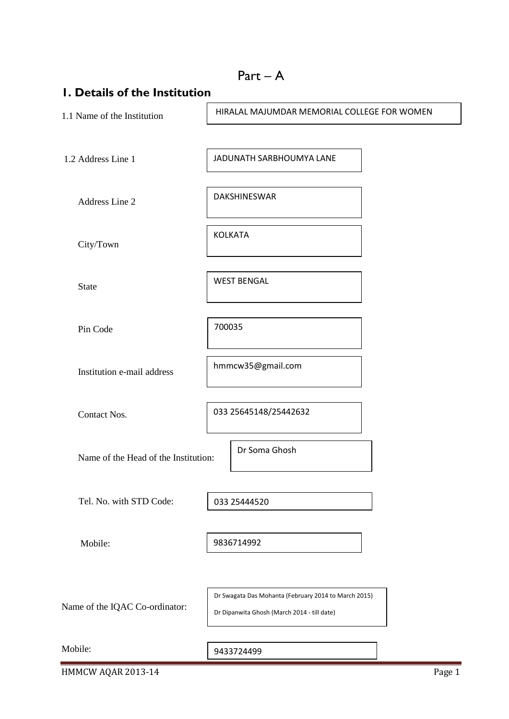|                                      |                                             | $Part - A$                                           |  |
|--------------------------------------|---------------------------------------------|------------------------------------------------------|--|
| I. Details of the Institution        |                                             |                                                      |  |
| 1.1 Name of the Institution          | HIRALAL MAJUMDAR MEMORIAL COLLEGE FOR WOMEN |                                                      |  |
|                                      |                                             |                                                      |  |
| 1.2 Address Line 1                   |                                             | JADUNATH SARBHOUMYA LANE                             |  |
|                                      |                                             |                                                      |  |
| Address Line 2                       |                                             | DAKSHINESWAR                                         |  |
|                                      |                                             |                                                      |  |
| City/Town                            |                                             | <b>KOLKATA</b>                                       |  |
|                                      |                                             |                                                      |  |
| <b>State</b>                         |                                             | <b>WEST BENGAL</b>                                   |  |
|                                      |                                             |                                                      |  |
| Pin Code                             | 700035                                      |                                                      |  |
|                                      |                                             |                                                      |  |
| Institution e-mail address           | hmmcw35@gmail.com                           |                                                      |  |
|                                      |                                             |                                                      |  |
| <b>Contact Nos.</b>                  |                                             | 033 25645148/25442632                                |  |
|                                      |                                             |                                                      |  |
|                                      |                                             | Dr Soma Ghosh                                        |  |
| Name of the Head of the Institution: |                                             |                                                      |  |
|                                      |                                             |                                                      |  |
| Tel. No. with STD Code:              |                                             | 033 25444520                                         |  |
|                                      |                                             |                                                      |  |
| Mobile:                              |                                             | 9836714992                                           |  |
|                                      |                                             |                                                      |  |
|                                      |                                             | Dr Swagata Das Mohanta (February 2014 to March 2015) |  |
| Name of the IQAC Co-ordinator:       |                                             | Dr Dipanwita Ghosh (March 2014 - till date)          |  |
|                                      |                                             |                                                      |  |
| Mobile:                              |                                             | 9433724499                                           |  |

HMMCW AQAR 2013-14 Page 1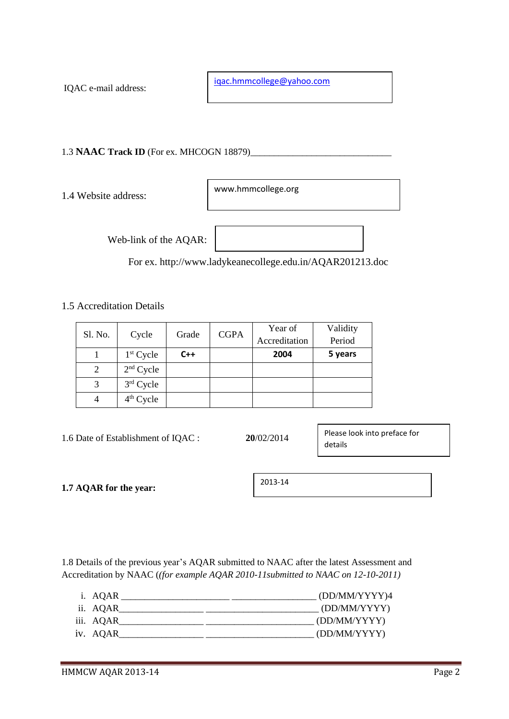IQAC e-mail address:

[iqac.hmmcollege@yahoo.com](mailto:iqac.hmmcollege@yahoo.com)

1.3 **NAAC Track ID** (For ex. MHCOGN 18879)\_\_\_\_\_\_\_\_\_\_\_\_\_\_\_\_\_\_\_\_\_\_\_\_\_\_\_\_\_\_

1.4 Website address:

www.hmmcollege.org

Web-link of the AQAR:

For ex. http://www.ladykeanecollege.edu.in/AQAR201213.doc

# 1.5 Accreditation Details

| Sl. No. |             |       | <b>CGPA</b><br>Grade | Year of       | Validity |
|---------|-------------|-------|----------------------|---------------|----------|
|         | Cycle       |       |                      | Accreditation | Period   |
|         | $1st$ Cycle | $C++$ |                      | 2004          | 5 years  |
| 2       | $2nd$ Cycle |       |                      |               |          |
|         | $3rd$ Cycle |       |                      |               |          |
|         | $4th$ Cycle |       |                      |               |          |

| 1.6 Date of Establishment of IQAC : | 20/02/2014 | Please look into preface for<br>details |
|-------------------------------------|------------|-----------------------------------------|
| 1.7 AQAR for the year:              | 2013-14    |                                         |

1.8 Details of the previous year's AQAR submitted to NAAC after the latest Assessment and Accreditation by NAAC (*(for example AQAR 2010-11submitted to NAAC on 12-10-2011)*

| i. AQAR   | (DD/MM/YYYY)4 |
|-----------|---------------|
| ii. AQAR  | (DD/MM/YYYY)  |
| iii. AQAR | (DD/MM/YYYY)  |
| iv. AQAR  | (DD/MM/YYYY)  |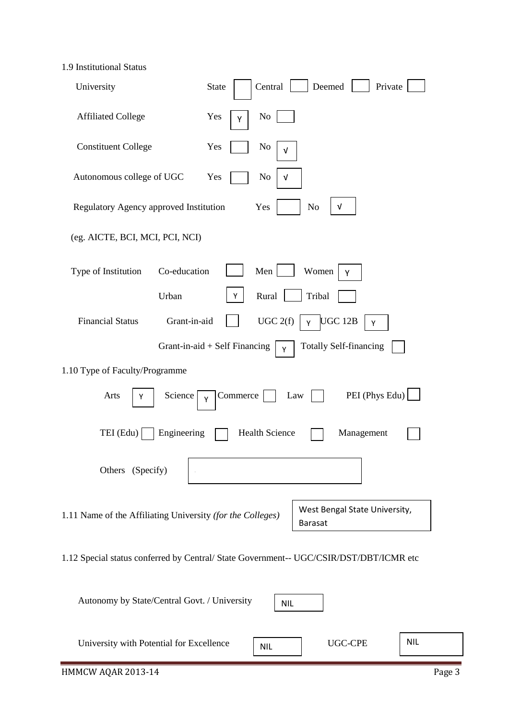1.9 Institutional Status

| University                                                 | Deemed<br>Central<br>Private<br><b>State</b>                                           |
|------------------------------------------------------------|----------------------------------------------------------------------------------------|
| <b>Affiliated College</b>                                  | N <sub>0</sub><br>Yes<br>Y                                                             |
| <b>Constituent College</b>                                 | Yes<br>N <sub>0</sub><br>v                                                             |
| Autonomous college of UGC                                  | Yes<br>N <sub>0</sub><br>V                                                             |
| Regulatory Agency approved Institution                     | $\sqrt{ }$<br>Yes<br>No                                                                |
| (eg. AICTE, BCI, MCI, PCI, NCI)                            |                                                                                        |
| Co-education<br>Type of Institution                        | Men<br>Women<br>Υ                                                                      |
| Urban                                                      | Rural<br>Tribal<br>Y                                                                   |
| <b>Financial Status</b><br>Grant-in-aid                    | UGC 2(f)<br><b>UGC 12B</b><br>Y<br>Y                                                   |
|                                                            | Grant-in-aid $+$ Self Financing<br><b>Totally Self-financing</b><br>Y                  |
| 1.10 Type of Faculty/Programme                             |                                                                                        |
| Arts<br>Science<br>Y                                       | PEI (Phys Edu)<br>Commerce<br>Law<br>Υ                                                 |
| TEI (Edu)<br>Engineering                                   | <b>Health Science</b><br>Management                                                    |
| Others (Specify)                                           |                                                                                        |
| 1.11 Name of the Affiliating University (for the Colleges) | West Bengal State University,<br><b>Barasat</b>                                        |
|                                                            | 1.12 Special status conferred by Central/ State Government-- UGC/CSIR/DST/DBT/ICMR etc |

| Autonomy by State/Central Govt. / University | <b>NIL</b> |                |            |
|----------------------------------------------|------------|----------------|------------|
| University with Potential for Excellence     | <b>NIL</b> | <b>UGC-CPE</b> | <b>NIL</b> |
| HMMCW AQAR 2013-14                           |            |                | Page 3     |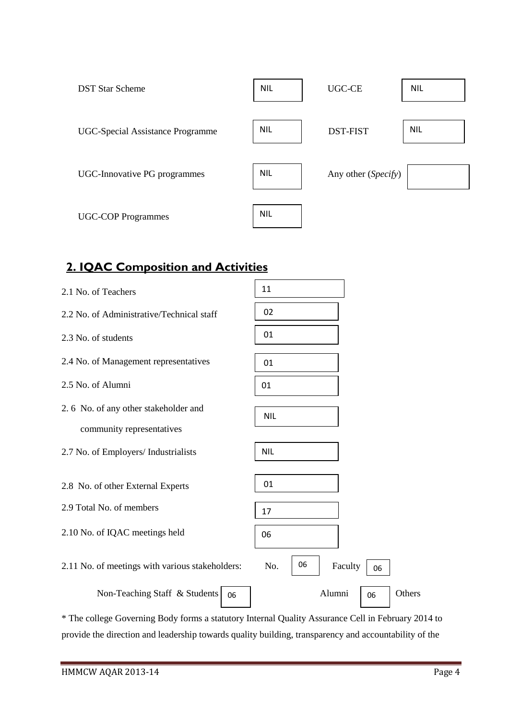| <b>DST Star Scheme</b>                  | <b>NIL</b> | <b>UGC-CE</b>       | <b>NIL</b> |
|-----------------------------------------|------------|---------------------|------------|
| <b>UGC-Special Assistance Programme</b> | <b>NIL</b> | <b>DST-FIST</b>     | <b>NIL</b> |
| UGC-Innovative PG programmes            | <b>NIL</b> | Any other (Specify) |            |
| <b>UGC-COP Programmes</b>               | <b>NIL</b> |                     |            |

# **2. IQAC Composition and Activities**

| 2.1 No. of Teachers                                               | 11                         |
|-------------------------------------------------------------------|----------------------------|
| 2.2 No. of Administrative/Technical staff                         | 02                         |
| 2.3 No. of students                                               | 01                         |
| 2.4 No. of Management representatives                             | 01                         |
| 2.5 No. of Alumni                                                 | 01                         |
| 2.6 No. of any other stakeholder and<br>community representatives | <b>NIL</b>                 |
| 2.7 No. of Employers/ Industrialists                              | <b>NIL</b>                 |
| 2.8 No. of other External Experts                                 | 01                         |
| 2.9 Total No. of members                                          | 17                         |
| 2.10 No. of IQAC meetings held                                    | 06                         |
| 2.11 No. of meetings with various stakeholders:                   | 06<br>No.<br>Faculty<br>06 |
| Non-Teaching Staff & Students<br>06                               | Alumni<br>Others<br>06     |

\* The college Governing Body forms a statutory Internal Quality Assurance Cell in February 2014 to provide the direction and leadership towards quality building, transparency and accountability of the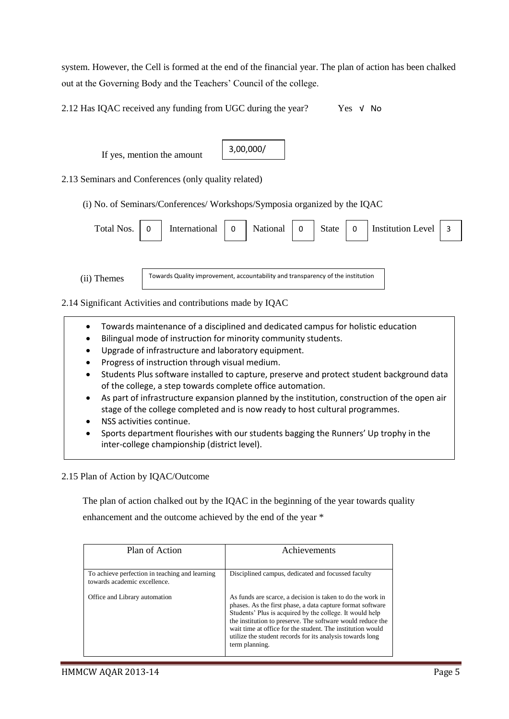system. However, the Cell is formed at the end of the financial year. The plan of action has been chalked out at the Governing Body and the Teachers' Council of the college.

2.12 Has IQAC received any funding from UGC during the year? Yes  $\sqrt{v}$  No



2.13 Seminars and Conferences (only quality related)

(i) No. of Seminars/Conferences/ Workshops/Symposia organized by the IQAC



(ii) Themes

Towards Quality improvement, accountability and transparency of the institution

2.14 Significant Activities and contributions made by IQAC

- Towards maintenance of a disciplined and dedicated campus for holistic education
- Bilingual mode of instruction for minority community students.
- Upgrade of infrastructure and laboratory equipment.
- Progress of instruction through visual medium.
- Students Plus software installed to capture, preserve and protect student background data of the college, a step towards complete office automation.
- As part of infrastructure expansion planned by the institution, construction of the open air stage of the college completed and is now ready to host cultural programmes.
- NSS activities continue.
- Sports department flourishes with our students bagging the Runners' Up trophy in the inter-college championship (district level).

2.15 Plan of Action by IQAC/Outcome

 The plan of action chalked out by the IQAC in the beginning of the year towards quality enhancement and the outcome achieved by the end of the year \*

| Plan of Action                                                                 | Achievements                                                                                                                                                                                                                                                                                                                                                                                    |
|--------------------------------------------------------------------------------|-------------------------------------------------------------------------------------------------------------------------------------------------------------------------------------------------------------------------------------------------------------------------------------------------------------------------------------------------------------------------------------------------|
|                                                                                |                                                                                                                                                                                                                                                                                                                                                                                                 |
| To achieve perfection in teaching and learning<br>towards academic excellence. | Disciplined campus, dedicated and focussed faculty                                                                                                                                                                                                                                                                                                                                              |
| Office and Library automation                                                  | As funds are scarce, a decision is taken to do the work in<br>phases. As the first phase, a data capture format software<br>Students' Plus is acquired by the college. It would help<br>the institution to preserve. The software would reduce the<br>wait time at office for the student. The institution would<br>utilize the student records for its analysis towards long<br>term planning. |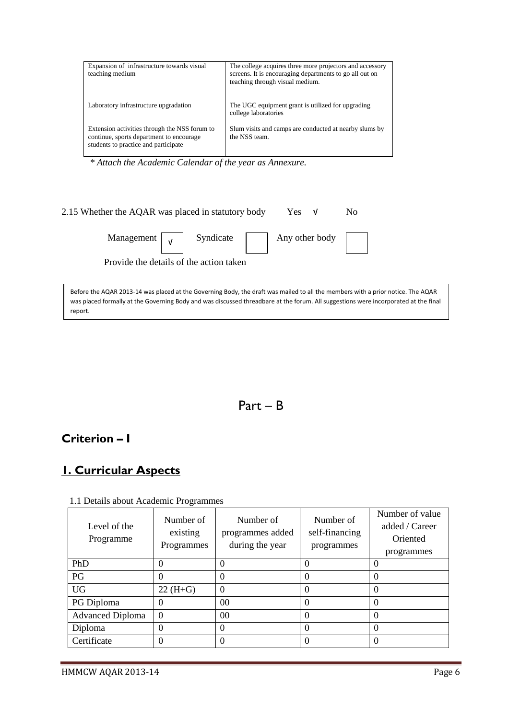| Expansion of infrastructure towards visual<br>teaching medium                                                                     | The college acquires three more projectors and accessory<br>screens. It is encouraging departments to go all out on<br>teaching through visual medium. |
|-----------------------------------------------------------------------------------------------------------------------------------|--------------------------------------------------------------------------------------------------------------------------------------------------------|
| Laboratory infrastructure upgradation                                                                                             | The UGC equipment grant is utilized for upgrading<br>college laboratories                                                                              |
| Extension activities through the NSS forum to<br>continue, sports department to encourage<br>students to practice and participate | Slum visits and camps are conducted at nearby slums by<br>the NSS team.                                                                                |

 *\* Attach the Academic Calendar of the year as Annexure.*

| 2.15 Whether the AQAR was placed in statutory body                                                                              |                                                                                | Yes $V$ | N <sub>o</sub> |
|---------------------------------------------------------------------------------------------------------------------------------|--------------------------------------------------------------------------------|---------|----------------|
|                                                                                                                                 | Management $\boxed{\mathsf{v}}$ Syndicate $\boxed{\phantom{0}}$ Any other body |         |                |
| Provide the details of the action taken                                                                                         |                                                                                |         |                |
| Before the AQAR 2013-14 was placed at the Governing Body, the draft was mailed to all the members with a prior notice. The AQAR |                                                                                |         |                |

was placed formally at the Governing Body and was discussed threadbare at the forum. All suggestions were incorporated at the final report.



# **Criterion – I**

# **1. Curricular Aspects**

| Level of the<br>Programme | Number of<br>existing<br>Programmes | Number of<br>programmes added<br>during the year | Number of<br>self-financing<br>programmes | Number of value<br>added / Career<br>Oriented<br>programmes |
|---------------------------|-------------------------------------|--------------------------------------------------|-------------------------------------------|-------------------------------------------------------------|
| PhD                       | $\theta$                            | 0                                                |                                           | $\theta$                                                    |
| PG                        | $\theta$                            | $\theta$                                         | $\theta$                                  | $\theta$                                                    |
| <b>UG</b>                 | $22(H+G)$                           | $\theta$                                         | $\Omega$                                  | $\theta$                                                    |
| PG Diploma                | 0                                   | 0 <sup>0</sup>                                   | $\theta$                                  | $\theta$                                                    |
| <b>Advanced Diploma</b>   | $\overline{0}$                      | $00 \,$                                          | $\theta$                                  | $\theta$                                                    |
| Diploma                   | $\theta$                            | $\Omega$                                         | $\Omega$                                  | $\theta$                                                    |
| Certificate               | $\theta$                            | $\theta$                                         |                                           | 0                                                           |

1.1 Details about Academic Programmes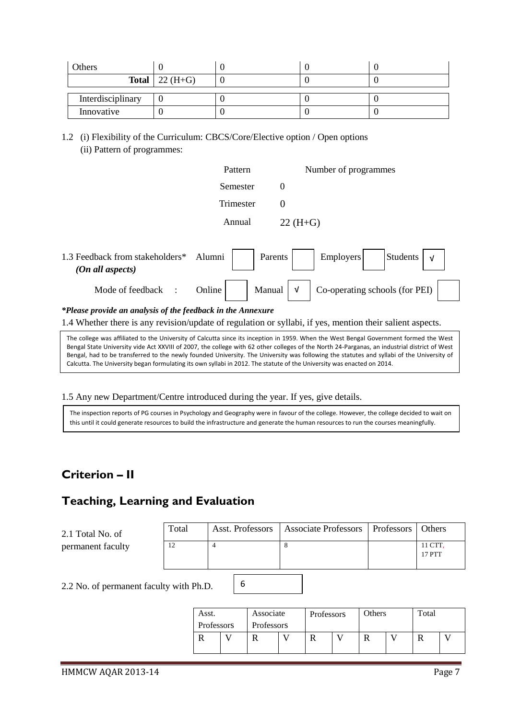| Others            |                           |  |  |
|-------------------|---------------------------|--|--|
|                   | <b>Total</b>   22 $(H+G)$ |  |  |
| Interdisciplinary |                           |  |  |
| Innovative        |                           |  |  |

1.2 (i) Flexibility of the Curriculum: CBCS/Core/Elective option / Open options (ii) Pattern of programmes:

|                                                             | Pattern          | Number of programmes                                  |
|-------------------------------------------------------------|------------------|-------------------------------------------------------|
|                                                             | Semester         | $\boldsymbol{0}$                                      |
|                                                             | Trimester        | $\theta$                                              |
|                                                             | Annual           | $22 (H + G)$                                          |
|                                                             |                  |                                                       |
| 1.3 Feedback from stakeholders*<br>(On all aspects)         | Alumni           | Students<br><b>Employers</b><br>Parents<br>$\sqrt{ }$ |
| Mode of feedback<br>$\sim$ 1                                | Manual<br>Online | Co-operating schools (for PEI)<br>$\sqrt{ }$          |
| *Please provide an analysis of the feedback in the Annexure |                  |                                                       |

1.4 Whether there is any revision/update of regulation or syllabi, if yes, mention their salient aspects.

The college was affiliated to the University of Calcutta since its inception in 1959. When the West Bengal Government formed the West Bengal State University vide Act XXVIII of 2007, the college with 62 other colleges of the North 24-Parganas, an industrial district of West Bengal, had to be transferred to the newly founded University. The University was following the statutes and syllabi of the University of Calcutta. The University began formulating its own syllabi in 2012. The statute of the University was enacted on 2014.

1.5 Any new Department/Centre introduced during the year. If yes, give details.

The inspection reports of PG courses in Psychology and Geography were in favour of the college. However, the college decided to wait on this until it could generate resources to build the infrastructure and generate the human resources to run the courses meaningfully.

6

# **Criterion – II**

# **Teaching, Learning and Evaluation**

| 2.1 Total No. of  | Total | Asst. Professors | Associate Professors   Professors   Others |                   |
|-------------------|-------|------------------|--------------------------------------------|-------------------|
| permanent faculty |       |                  |                                            | 11 CTT.<br>17 PTT |

2.2 No. of permanent faculty with Ph.D.

| Asst.      | Associate  | Professors |  | Others |  | Total |  |
|------------|------------|------------|--|--------|--|-------|--|
| Professors | Professors |            |  |        |  |       |  |
|            |            |            |  |        |  |       |  |
|            |            |            |  |        |  |       |  |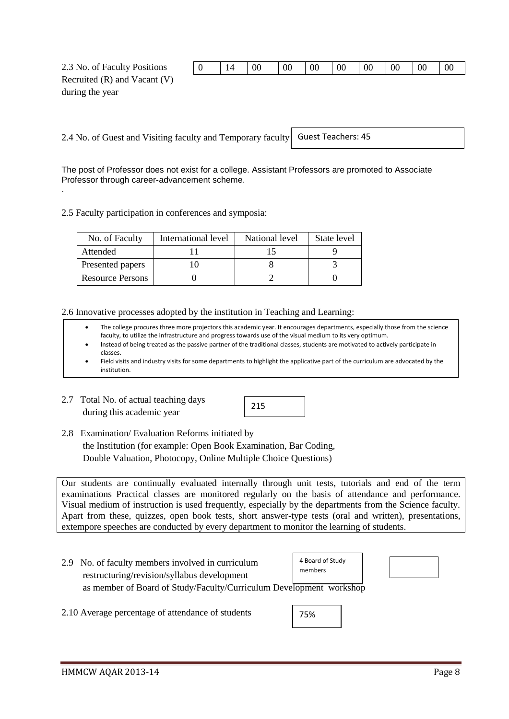| Recruited $(R)$ and Vacant $(V)$ |  |
|----------------------------------|--|
|                                  |  |

during the year

2.4 No. of Guest and Visiting faculty and Temporary faculty Guest Teachers: 45

The post of Professor does not exist for a college. Assistant Professors are promoted to Associate Professor through career-advancement scheme. .

2.5 Faculty participation in conferences and symposia:

| No. of Faculty          | International level | National level | State level |
|-------------------------|---------------------|----------------|-------------|
| Attended                |                     |                |             |
| Presented papers        |                     |                |             |
| <b>Resource Persons</b> |                     |                |             |

2.6 Innovative processes adopted by the institution in Teaching and Learning:

- The college procures three more projectors this academic year. It encourages departments, especially those from the science faculty, to utilize the infrastructure and progress towards use of the visual medium to its very optimum.
- Instead of being treated as the passive partner of the traditional classes, students are motivated to actively participate in classes.
- Field visits and industry visits for some departments to highlight the applicative part of the curriculum are advocated by the institution.
- 2.7 Total No. of actual teaching days during this academic year



2.8 Examination/ Evaluation Reforms initiated by the Institution (for example: Open Book Examination, Bar Coding, Double Valuation, Photocopy, Online Multiple Choice Questions)

Our students are continually evaluated internally through unit tests, tutorials and end of the term examinations Practical classes are monitored regularly on the basis of attendance and performance. Visual medium of instruction is used frequently, especially by the departments from the Science faculty. Apart from these, quizzes, open book tests, short answer-type tests (oral and written), presentations, extempore speeches are conducted by every department to monitor the learning of students.

- 2.9 No. of faculty members involved in curriculum restructuring/revision/syllabus development as member of Board of Study/Faculty/Curriculum Development workshop 4 Board of Study members
- 2.10 Average percentage of attendance of students

| 75% |
|-----|
|-----|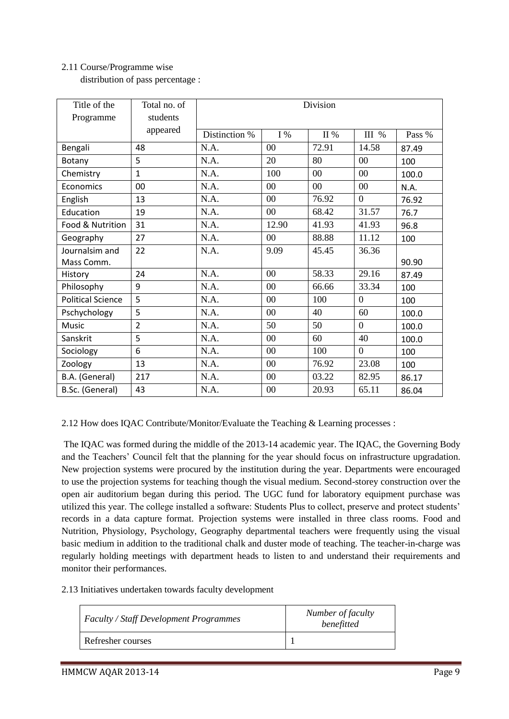# 2.11 Course/Programme wise

distribution of pass percentage :

| Title of the             | Total no. of   | Division      |        |            |                |        |
|--------------------------|----------------|---------------|--------|------------|----------------|--------|
| Programme                | students       |               |        |            |                |        |
|                          | appeared       | Distinction % | I%     | $\rm II$ % | III %          | Pass % |
| Bengali                  | 48             | N.A.          | 00     | 72.91      | 14.58          | 87.49  |
| Botany                   | 5              | N.A.          | 20     | 80         | 0 <sup>0</sup> | 100    |
| Chemistry                | $\mathbf{1}$   | N.A.          | 100    | $00\,$     | 00             | 100.0  |
| Economics                | 00             | N.A.          | 00     | 00         | 00             | N.A.   |
| English                  | 13             | N.A.          | $00\,$ | 76.92      | $\overline{0}$ | 76.92  |
| Education                | 19             | N.A.          | 00     | 68.42      | 31.57          | 76.7   |
| Food & Nutrition         | 31             | N.A.          | 12.90  | 41.93      | 41.93          | 96.8   |
| Geography                | 27             | N.A.          | $00\,$ | 88.88      | 11.12          | 100    |
| Journalsim and           | 22             | N.A.          | 9.09   | 45.45      | 36.36          |        |
| Mass Comm.               |                |               |        |            |                | 90.90  |
| History                  | 24             | N.A.          | $00\,$ | 58.33      | 29.16          | 87.49  |
| Philosophy               | 9              | N.A.          | $00\,$ | 66.66      | 33.34          | 100    |
| <b>Political Science</b> | 5              | N.A.          | $00\,$ | 100        | $\overline{0}$ | 100    |
| Pschychology             | 5              | N.A.          | $00\,$ | 40         | 60             | 100.0  |
| Music                    | $\overline{2}$ | N.A.          | 50     | 50         | $\Omega$       | 100.0  |
| Sanskrit                 | 5              | N.A.          | $00\,$ | 60         | 40             | 100.0  |
| Sociology                | 6              | N.A.          | 00     | 100        | $\overline{0}$ | 100    |
| Zoology                  | 13             | N.A.          | 00     | 76.92      | 23.08          | 100    |
| B.A. (General)           | 217            | N.A.          | 00     | 03.22      | 82.95          | 86.17  |
| B.Sc. (General)          | 43             | N.A.          | 00     | 20.93      | 65.11          | 86.04  |

2.12 How does IQAC Contribute/Monitor/Evaluate the Teaching & Learning processes :

The IQAC was formed during the middle of the 2013-14 academic year. The IQAC, the Governing Body and the Teachers' Council felt that the planning for the year should focus on infrastructure upgradation. New projection systems were procured by the institution during the year. Departments were encouraged to use the projection systems for teaching though the visual medium. Second-storey construction over the open air auditorium began during this period. The UGC fund for laboratory equipment purchase was utilized this year. The college installed a software: Students Plus to collect, preserve and protect students' records in a data capture format. Projection systems were installed in three class rooms. Food and Nutrition, Physiology, Psychology, Geography departmental teachers were frequently using the visual basic medium in addition to the traditional chalk and duster mode of teaching. The teacher-in-charge was regularly holding meetings with department heads to listen to and understand their requirements and monitor their performances.

2.13 Initiatives undertaken towards faculty development

| <b>Faculty / Staff Development Programmes</b> | Number of faculty<br>benefitted |
|-----------------------------------------------|---------------------------------|
| Refresher courses                             |                                 |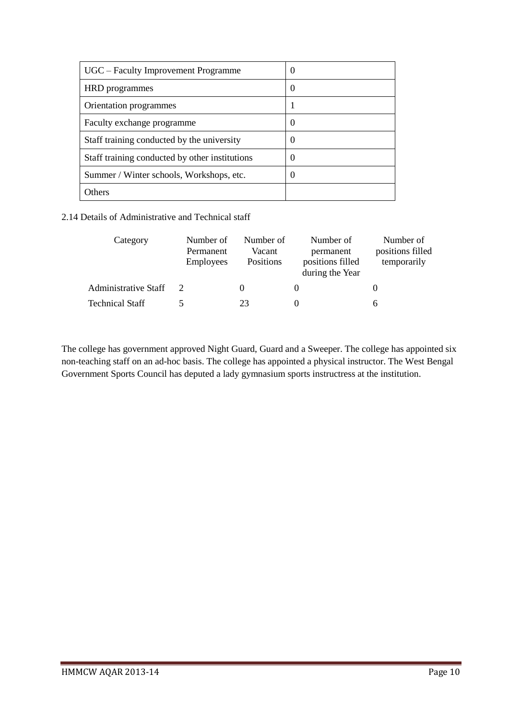| UGC – Faculty Improvement Programme            | O |
|------------------------------------------------|---|
| HRD programmes                                 | O |
| Orientation programmes                         |   |
| Faculty exchange programme                     | 0 |
| Staff training conducted by the university     | 0 |
| Staff training conducted by other institutions | 0 |
| Summer / Winter schools, Workshops, etc.       | 0 |
| Others                                         |   |

2.14 Details of Administrative and Technical staff

| Category               | Number of<br>Permanent<br><b>Employees</b> | Number of<br>Vacant<br>Positions | Number of<br>permanent<br>positions filled<br>during the Year | Number of<br>positions filled<br>temporarily |
|------------------------|--------------------------------------------|----------------------------------|---------------------------------------------------------------|----------------------------------------------|
| Administrative Staff   |                                            |                                  |                                                               |                                              |
| <b>Technical Staff</b> |                                            | 23                               |                                                               | h                                            |

The college has government approved Night Guard, Guard and a Sweeper. The college has appointed six non-teaching staff on an ad-hoc basis. The college has appointed a physical instructor. The West Bengal Government Sports Council has deputed a lady gymnasium sports instructress at the institution.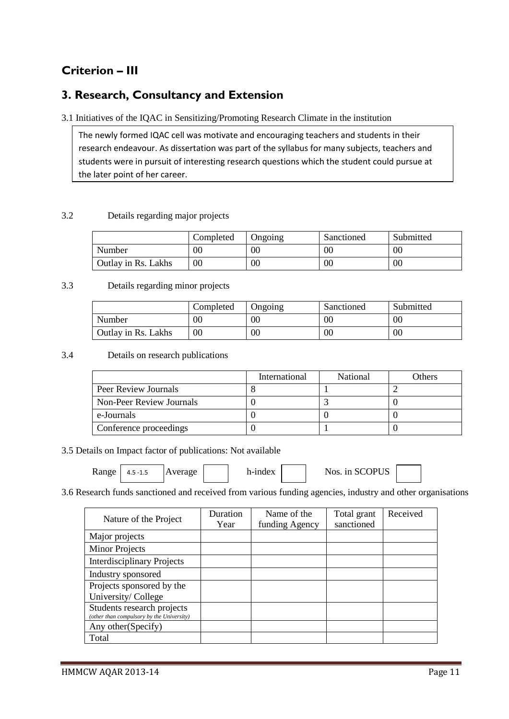# **Criterion – III**

# **3. Research, Consultancy and Extension**

3.1 Initiatives of the IQAC in Sensitizing/Promoting Research Climate in the institution

The newly formed IQAC cell was motivate and encouraging teachers and students in their research endeavour. As dissertation was part of the syllabus for many subjects, teachers and students were in pursuit of interesting research questions which the student could pursue at the later point of her career.

### 3.2 Details regarding major projects

|                     | Completed | <b>J</b> ngoing | Sanctioned | Submitted |
|---------------------|-----------|-----------------|------------|-----------|
| Number              | $00\,$    | 00              | 00         | 00        |
| Outlay in Rs. Lakhs | $00\,$    | 00              | $00\,$     | 00        |

### 3.3 Details regarding minor projects

|                     | Completed | Ongoing | Sanctioned | Submitted |
|---------------------|-----------|---------|------------|-----------|
| Number              | 00        | 00      | $00\,$     | $00\,$    |
| Outlay in Rs. Lakhs | 00        | 00      | $00\,$     | $00\,$    |

### 3.4 Details on research publications

|                          | International | National | Others |
|--------------------------|---------------|----------|--------|
| Peer Review Journals     |               |          |        |
| Non-Peer Review Journals |               |          |        |
| e-Journals               |               |          |        |
| Conference proceedings   |               |          |        |

## 3.5 Details on Impact factor of publications: Not available

 $Range \mid 4.5 - 1.5$   $|Average \mid 1.5 - 1.5$   $|Average \mid 1.5 - 1.5$   $|Average \mid 1.5 - 1.5$   $|Average \mid 1.5 - 1.5$ 4.5 -1.5

3.6 Research funds sanctioned and received from various funding agencies, industry and other organisations

| Nature of the Project                                                   | Duration<br>Year | Name of the<br>funding Agency | Total grant<br>sanctioned | Received |
|-------------------------------------------------------------------------|------------------|-------------------------------|---------------------------|----------|
| Major projects                                                          |                  |                               |                           |          |
| <b>Minor Projects</b>                                                   |                  |                               |                           |          |
| <b>Interdisciplinary Projects</b>                                       |                  |                               |                           |          |
| Industry sponsored                                                      |                  |                               |                           |          |
| Projects sponsored by the<br>University/College                         |                  |                               |                           |          |
| Students research projects<br>(other than compulsory by the University) |                  |                               |                           |          |
| Any other (Specify)                                                     |                  |                               |                           |          |
| Total                                                                   |                  |                               |                           |          |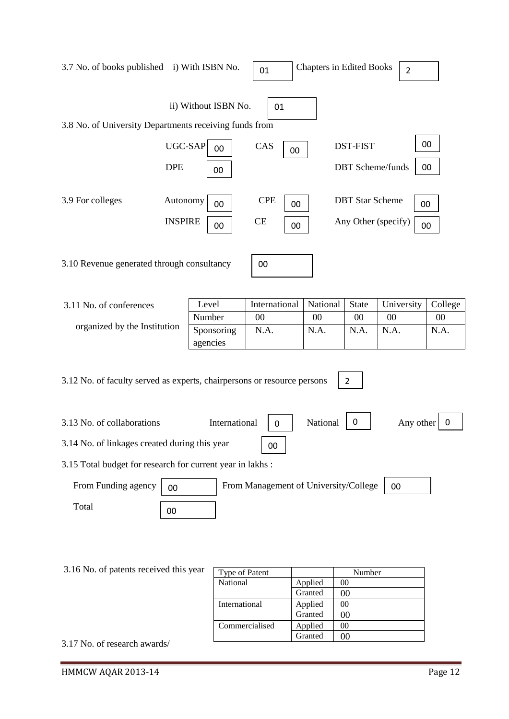| 3.7 No. of books published i) With ISBN No.                             |                            |                        | 01                                    | <b>Chapters in Edited Books</b> |                        | $\overline{2}$                  |          |
|-------------------------------------------------------------------------|----------------------------|------------------------|---------------------------------------|---------------------------------|------------------------|---------------------------------|----------|
| 3.8 No. of University Departments receiving funds from                  |                            | ii) Without ISBN No.   | 01                                    |                                 |                        |                                 |          |
|                                                                         | $UGC-SAP$<br><b>DPE</b>    | 00<br>00               | CAS<br>00                             |                                 | <b>DST-FIST</b>        | <b>DBT</b> Scheme/funds         | 00<br>00 |
| 3.9 For colleges                                                        | Autonomy<br><b>INSPIRE</b> | 00<br>00               | <b>CPE</b><br>00<br><b>CE</b><br>00   |                                 | <b>DBT</b> Star Scheme | 00<br>Any Other (specify)<br>00 |          |
| 3.10 Revenue generated through consultancy                              |                            |                        | 00                                    |                                 |                        |                                 |          |
| 3.11 No. of conferences                                                 |                            | Level                  | International                         | National                        | <b>State</b>           | University                      | College  |
|                                                                         |                            | Number                 | 00                                    | 00                              | 00                     | 00                              | $00\,$   |
| organized by the Institution                                            |                            | Sponsoring<br>agencies | N.A.                                  | N.A.                            | N.A.                   | N.A.                            | N.A.     |
| 3.12 No. of faculty served as experts, chairpersons or resource persons |                            |                        |                                       |                                 | $\overline{2}$         |                                 |          |
| 3.13 No. of collaborations                                              |                            | International          | 0                                     | National                        | 0                      | Any other                       | 0        |
| 3.14 No. of linkages created during this year                           |                            |                        | 00                                    |                                 |                        |                                 |          |
| 3.15 Total budget for research for current year in lakhs:               |                            |                        |                                       |                                 |                        |                                 |          |
| From Funding agency                                                     | 00                         |                        | From Management of University/College |                                 |                        | 00                              |          |
| Total                                                                   | 00                         |                        |                                       |                                 |                        |                                 |          |
|                                                                         |                            |                        |                                       |                                 |                        |                                 |          |

| 3.16 No. of patents received this year | Type of Patent |         | Number |
|----------------------------------------|----------------|---------|--------|
|                                        | National       | Applied | 00     |
|                                        |                | Granted | 00     |
|                                        | International  | Applied | 00     |
|                                        |                | Granted | 00     |
|                                        | Commercialised | Applied | 00     |
|                                        |                | Granted | 00     |
| 3.17 No. of research awards/           |                |         |        |

3.17 No. of research awards/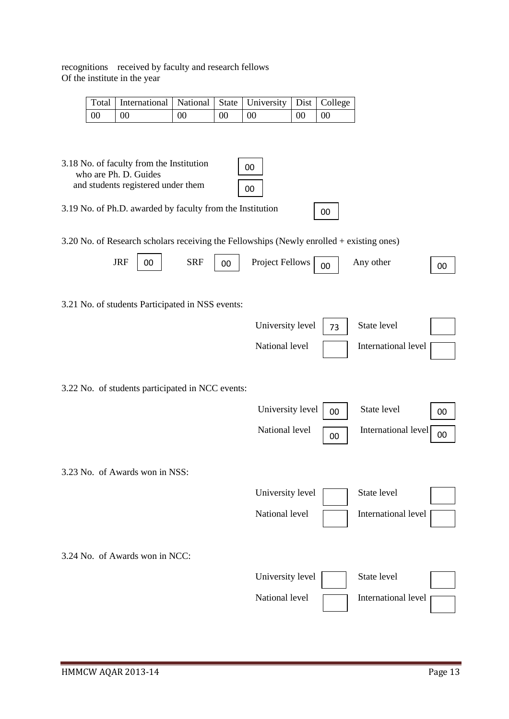|                 | Total   International   National   State   University   Dist   College |    |                 |           |               |  |
|-----------------|------------------------------------------------------------------------|----|-----------------|-----------|---------------|--|
| $\overline{00}$ | $\mid$ 00                                                              | 00 | 00 <sup>°</sup> | $\sim 00$ | $00 \quad 00$ |  |

3.18 No. of faculty from the Institution who are Ph. D. Guides and students registered under them

| s registered under them |  |  |  | $\begin{array}{c} \begin{array}{c} \end{array}$ |  |
|-------------------------|--|--|--|-------------------------------------------------|--|
|                         |  |  |  |                                                 |  |

3.19 No. of Ph.D. awarded by faculty from the Institution

3.20 No. of Research scholars receiving the Fellowships (Newly enrolled + existing ones)

00

00

|                                | <b>JRF</b> | 00 | <b>SRF</b>                                       | 00 | <b>Project Fellows</b> | 00 | Any other           | 00 |
|--------------------------------|------------|----|--------------------------------------------------|----|------------------------|----|---------------------|----|
|                                |            |    | 3.21 No. of students Participated in NSS events: |    |                        |    |                     |    |
|                                |            |    |                                                  |    | University level       | 73 | State level         |    |
|                                |            |    |                                                  |    | National level         |    | International level |    |
|                                |            |    | 3.22 No. of students participated in NCC events: |    |                        |    |                     |    |
|                                |            |    |                                                  |    | University level       | 00 | State level         | 00 |
|                                |            |    |                                                  |    | National level         | 00 | International level | 00 |
| 3.23 No. of Awards won in NSS: |            |    |                                                  |    |                        |    |                     |    |
|                                |            |    |                                                  |    | University level       |    | State level         |    |
|                                |            |    |                                                  |    | National level         |    | International level |    |
| 3.24 No. of Awards won in NCC: |            |    |                                                  |    |                        |    |                     |    |
|                                |            |    |                                                  |    | University level       |    | State level         |    |
|                                |            |    |                                                  |    | National level         |    | International level |    |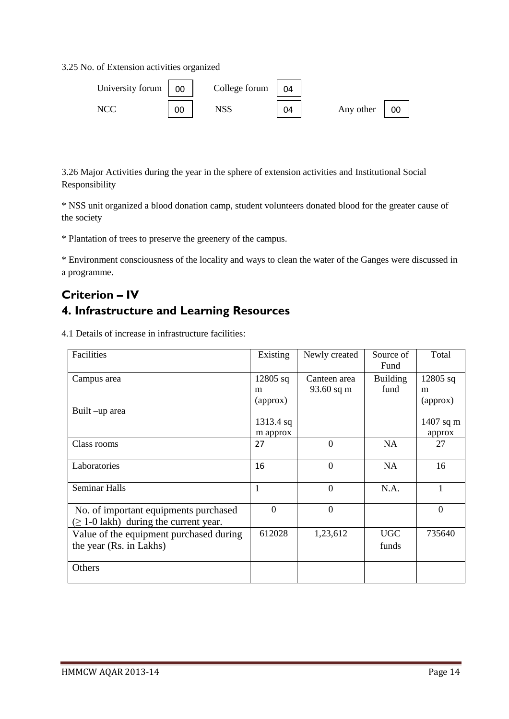3.25 No. of Extension activities organized

| University forum $\begin{bmatrix} 0 \\ 0 \\ 0 \end{bmatrix}$ |    | College forum | 04 |                 |
|--------------------------------------------------------------|----|---------------|----|-----------------|
| NCC                                                          | 00 | NSS           | 04 | Any other<br>00 |

3.26 Major Activities during the year in the sphere of extension activities and Institutional Social Responsibility

\* NSS unit organized a blood donation camp, student volunteers donated blood for the greater cause of the society

\* Plantation of trees to preserve the greenery of the campus.

\* Environment consciousness of the locality and ways to clean the water of the Ganges were discussed in a programme.

# **Criterion – IV 4. Infrastructure and Learning Resources**

4.1 Details of increase in infrastructure facilities:

| Facilities                                  | Existing    | Newly created  | Source of       | Total          |
|---------------------------------------------|-------------|----------------|-----------------|----------------|
|                                             |             |                | Fund            |                |
| Campus area                                 | $12805$ sq  | Canteen area   | <b>Building</b> | $12805$ sq     |
|                                             | m           | 93.60 sq m     | fund            | m              |
|                                             | (approx)    |                |                 | (approx)       |
| Built –up area                              |             |                |                 |                |
|                                             | $1313.4$ sq |                |                 | 1407 sq m      |
|                                             | m approx    |                |                 | approx         |
| Class rooms                                 | 27          | $\Omega$       | <b>NA</b>       | 27             |
|                                             |             |                |                 |                |
| Laboratories                                | 16          | $\theta$       | <b>NA</b>       | 16             |
|                                             |             |                |                 |                |
| Seminar Halls                               | 1           | $\overline{0}$ | N.A.            | 1              |
|                                             |             |                |                 |                |
| No. of important equipments purchased       | $\Omega$    | $\mathbf{0}$   |                 | $\overline{0}$ |
| $(\geq 1-0)$ lakh) during the current year. |             |                |                 |                |
| Value of the equipment purchased during     | 612028      | 1,23,612       | <b>UGC</b>      | 735640         |
|                                             |             |                |                 |                |
| the year (Rs. in Lakhs)                     |             |                | funds           |                |
|                                             |             |                |                 |                |
| Others                                      |             |                |                 |                |
|                                             |             |                |                 |                |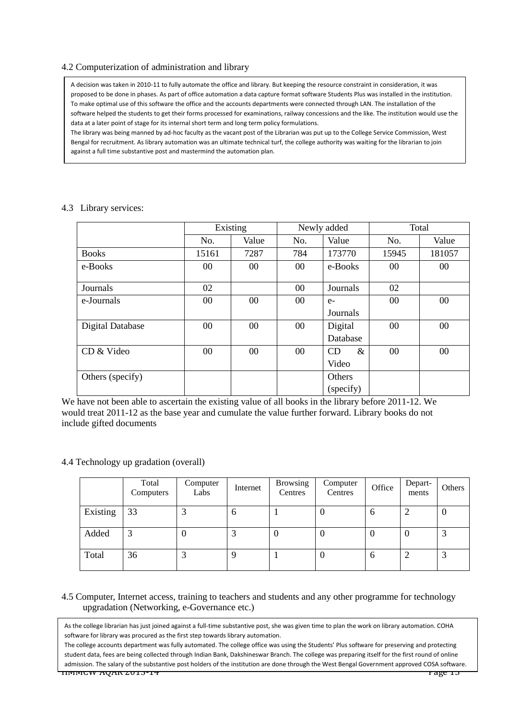### 4.2 Computerization of administration and library

A decision was taken in 2010-11 to fully automate the office and library. But keeping the resource constraint in consideration, it was proposed to be done in phases. As part of office automation a data capture format software Students Plus was installed in the institution. To make optimal use of this software the office and the accounts departments were connected through LAN. The installation of the software helped the students to get their forms processed for examinations, railway concessions and the like. The institution would use the data at a later point of stage for its internal short term and long term policy formulations.

The library was being manned by ad-hoc faculty as the vacant post of the Librarian was put up to the College Service Commission, West Bengal for recruitment. As library automation was an ultimate technical turf, the college authority was waiting for the librarian to join against a full time substantive post and mastermind the automation plan.

|                         |        | Existing |        | Newly added       | Total |        |  |
|-------------------------|--------|----------|--------|-------------------|-------|--------|--|
|                         | No.    | Value    | No.    | Value             | No.   | Value  |  |
| <b>Books</b>            | 15161  | 7287     | 784    | 173770            | 15945 | 181057 |  |
| e-Books                 | 00     | $00\,$   | $00\,$ | e-Books           | 00    | $00\,$ |  |
|                         |        |          |        |                   |       |        |  |
| Journals                | 02     |          | $00\,$ | Journals          | 02    |        |  |
| e-Journals              | 00     | $00\,$   | $00\,$ | $e-$              | 00    | $00\,$ |  |
|                         |        |          |        | Journals          |       |        |  |
| <b>Digital Database</b> | $00\,$ | $00\,$   | $00\,$ | Digital           | 00    | $00\,$ |  |
|                         |        |          |        | Database          |       |        |  |
| CD & Video              | 00     | $00\,$   | $00\,$ | $\&$<br><b>CD</b> | 00    | $00\,$ |  |
|                         |        |          |        | Video             |       |        |  |
| Others (specify)        |        |          |        | Others            |       |        |  |
|                         |        |          |        | (specify)         |       |        |  |

#### 4.3 Library services:

We have not been able to ascertain the existing value of all books in the library before 2011-12. We would treat 2011-12 as the base year and cumulate the value further forward. Library books do not include gifted documents

#### 4.4 Technology up gradation (overall)

|          | Total<br>Computers | Computer<br>Labs | Internet | <b>Browsing</b><br>Centres | Computer<br>Centres | Office   | Depart-<br>ments | Others |
|----------|--------------------|------------------|----------|----------------------------|---------------------|----------|------------------|--------|
| Existing | 33                 |                  | 6        |                            | 0                   | 6        |                  | v      |
| Added    | 3                  | U                | ⌒        | v                          | O                   | $\theta$ | 0                | 2      |
| Total    | 36                 |                  | 9        |                            | O                   | 6        |                  | 2      |

### 4.5 Computer, Internet access, training to teachers and students and any other programme for technology upgradation (Networking, e-Governance etc.)

As the college librarian has just joined against a full-time substantive post, she was given time to plan the work on library automation. COHA software for library was procured as the first step towards library automation.

HMMCW AQAR 2013-14 Page 15 The college accounts department was fully automated. The college office was using the Students' Plus software for preserving and protecting student data, fees are being collected through Indian Bank, Dakshineswar Branch. The college was preparing itself for the first round of online admission. The salary of the substantive post holders of the institution are done through the West Bengal Government approved COSA software.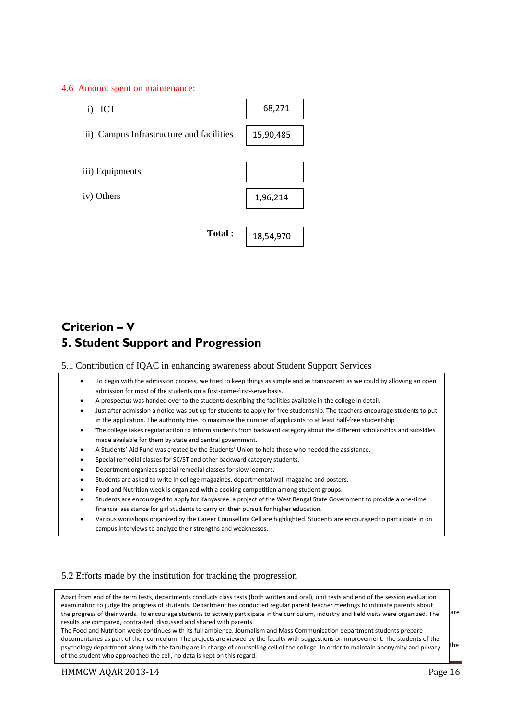#### 4.6 Amount spent on maintenance:

| i) ICT                                   | 68,271    |
|------------------------------------------|-----------|
| ii) Campus Infrastructure and facilities | 15,90,485 |
|                                          |           |
| iii) Equipments                          |           |
| iv) Others                               | 1,96,214  |
|                                          |           |
| Total:                                   | 18,54,970 |

# **Criterion – V 5. Student Support and Progression**

### 5.1 Contribution of IQAC in enhancing awareness about Student Support Services

- To begin with the admission process, we tried to keep things as simple and as transparent as we could by allowing an open admission for most of the students on a first-come-first-serve basis.
- A prospectus was handed over to the students describing the facilities available in the college in detail.
- Just after admission a notice was put up for students to apply for free studentship. The teachers encourage students to put in the application. The authority tries to maximise the number of applicants to at least half-free studentship
- The college takes regular action to inform students from backward category about the different scholarships and subsidies made available for them by state and central government.
- A Students' Aid Fund was created by the Students' Union to help those who needed the assistance.
- Special remedial classes for SC/ST and other backward category students.
- Department organizes special remedial classes for slow learners.
- Students are asked to write in college magazines, departmental wall magazine and posters.
- Food and Nutrition week is organized with a cooking competition among student groups.
- Students are encouraged to apply for Kanyasree: a project of the West Bengal State Government to provide a one-time financial assistance for girl students to carry on their pursuit for higher education.
- Various workshops organized by the Career Counselling Cell are highlighted. Students are encouraged to participate in on campus interviews to analyze their strengths and weaknesses.

#### 5.2 Efforts made by the institution for tracking the progression

Apart from end of the term tests, departments conducts class tests (both written and oral), unit tests and end of the session evaluation examination to judge the progress of students. Department has conducted regular parent teacher meetings to intimate parents about the progress of their wards. To encourage students to actively participate in the curriculum, industry and field visits were organized. The are compared, contrasted, discussed and shared with parents. results are compared, contrasted, discussed and shared with parents.

The Food and Nutrition week continues with its full ambience. Journalism and Mass Communication department students prepare documentaries as part of their curriculum. The projects are viewed by the faculty with suggestions on improvement. The students of the psychology department along with the faculty are in charge of counselling cell of the college. In order to maintain anonymity and privacy student who approached the cell, no data is kept on this regard. of the student who approached the cell, no data is kept on this regard.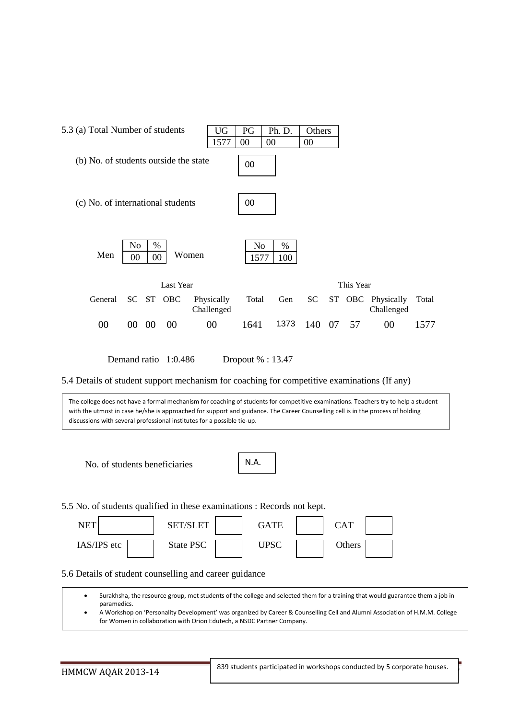

Demand ratio 1:0.486 Dropout % : 13.47

5.4 Details of student support mechanism for coaching for competitive examinations (If any)

The college does not have a formal mechanism for coaching of students for competitive examinations. Teachers try to help a student with the utmost in case he/she is approached for support and guidance. The Career Counselling cell is in the process of holding discussions with several professional institutes for a possible tie-up.

No. of students beneficiaries

5.5 No. of students qualified in these examinations : Records not kept.

| <b>NET</b>  | <b>LET</b><br>SET/SL | GATE | ${\rm CAT}$ |
|-------------|----------------------|------|-------------|
| IAS/IPS etc | State PSC            | JPSC | Others      |

5.6 Details of student counselling and career guidance

• Surakhsha, the resource group, met students of the college and selected them for a training that would guarantee them a job in paramedics.

• A Workshop on 'Personality Development' was organized by Career & Counselling Cell and Alumni Association of H.M.M. College for Women in collaboration with Orion Edutech, a NSDC Partner Company.

l

839 students participated in workshops conducted by 5 corporate houses.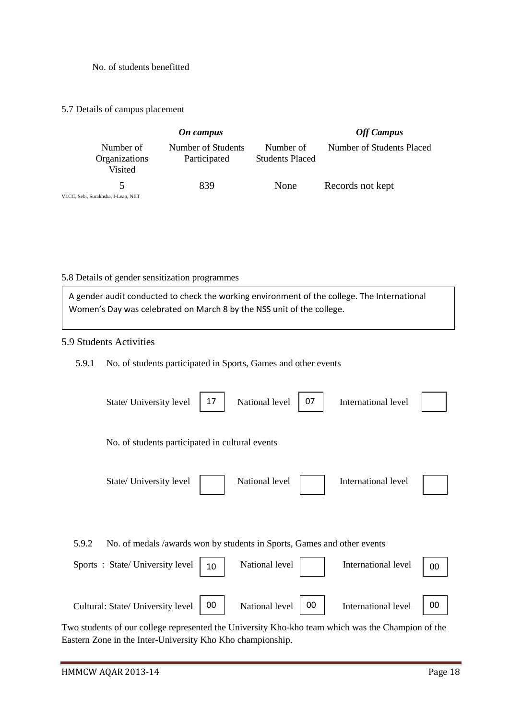### No. of students benefitted

### 5.7 Details of campus placement

|                                       | <b>Off Campus</b>                  |                                     |                           |
|---------------------------------------|------------------------------------|-------------------------------------|---------------------------|
| Number of<br>Organizations<br>Visited | Number of Students<br>Participated | Number of<br><b>Students Placed</b> | Number of Students Placed |
|                                       | 839                                | None                                | Records not kept          |
| VLCC, Sebi, Surakhsha, I-Leap, NIIT   |                                    |                                     |                           |

## 5.8 Details of gender sensitization programmes

A gender audit conducted to check the working environment of the college. The International Women's Day was celebrated on March 8 by the NSS unit of the college.

## 5.9 Students Activities

### 5.9.1 No. of students participated in Sports, Games and other events

|       | State/ University level                                                                                                                            | 17 | National level | 07 | International level |    |
|-------|----------------------------------------------------------------------------------------------------------------------------------------------------|----|----------------|----|---------------------|----|
|       | No. of students participated in cultural events                                                                                                    |    |                |    |                     |    |
|       | State/ University level                                                                                                                            |    | National level |    | International level |    |
| 5.9.2 | No. of medals /awards won by students in Sports, Games and other events                                                                            |    |                |    |                     |    |
|       | Sports: State/University level                                                                                                                     | 10 | National level |    | International level | 00 |
|       | Cultural: State/ University level<br>Two students of our collage represented the University $V_{\mathbf{A}}$ be team which wes the Chempion of the | 00 | National level | 00 | International level | 00 |

Two students of our college represented the University Kho-kho team which was the Champion of the Eastern Zone in the Inter-University Kho Kho championship.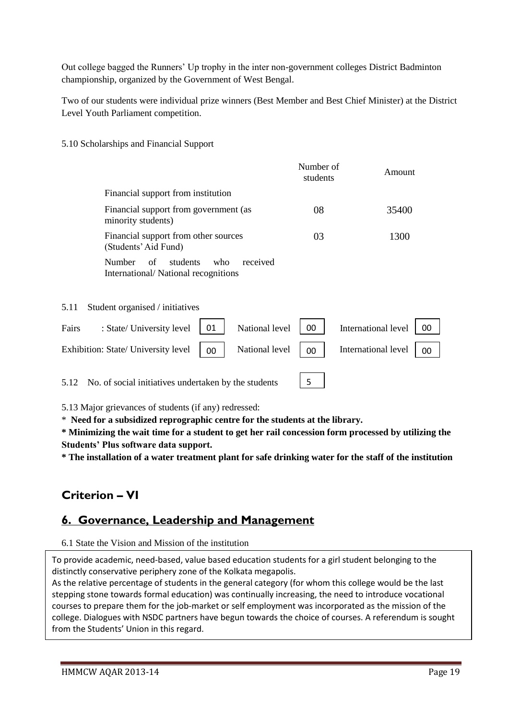Out college bagged the Runners' Up trophy in the inter non-government colleges District Badminton championship, organized by the Government of West Bengal.

Two of our students were individual prize winners (Best Member and Best Chief Minister) at the District Level Youth Parliament competition.

5.10 Scholarships and Financial Support

|      |                                                                                    | Number of<br>students | Amount |
|------|------------------------------------------------------------------------------------|-----------------------|--------|
|      | Financial support from institution                                                 |                       |        |
|      | Financial support from government (as<br>minority students)                        | 08                    | 35400  |
|      | Financial support from other sources<br>(Students' Aid Fund)                       | 03                    | 1300   |
|      | Number<br>students<br>of<br>received<br>who<br>International/National recognitions |                       |        |
| 5.11 | Student organised / initiatives                                                    |                       |        |

| Fairs | : State/ University level $\begin{vmatrix} 01 \\ 01 \end{vmatrix}$ National level $\begin{vmatrix} 00 \\ 00 \end{vmatrix}$ International level $\begin{vmatrix} 00 \\ 00 \end{vmatrix}$  |  |  |  |
|-------|------------------------------------------------------------------------------------------------------------------------------------------------------------------------------------------|--|--|--|
|       | Exhibition: State/ University level $\begin{vmatrix} 0 & 1 \end{vmatrix}$ National level $\begin{vmatrix} 0 & 1 \end{vmatrix}$ International level $\begin{vmatrix} 0 & 1 \end{vmatrix}$ |  |  |  |
|       |                                                                                                                                                                                          |  |  |  |

5.12 No. of social initiatives undertaken by the students

5.13 Major grievances of students (if any) redressed:

\* **Need for a subsidized reprographic centre for the students at the library.** 

**\* Minimizing the wait time for a student to get her rail concession form processed by utilizing the Students' Plus software data support.**

5

**\* The installation of a water treatment plant for safe drinking water for the staff of the institution**

# **Criterion – VI**

# **6. Governance, Leadership and Management**

## 6.1 State the Vision and Mission of the institution

To provide academic, need-based, value based education students for a girl student belonging to the distinctly conservative periphery zone of the Kolkata megapolis.

As the relative percentage of students in the general category (for whom this college would be the last stepping stone towards formal education) was continually increasing, the need to introduce vocational courses to prepare them for the job-market or self employment was incorporated as the mission of the college. Dialogues with NSDC partners have begun towards the choice of courses. A referendum is sought from the Students' Union in this regard.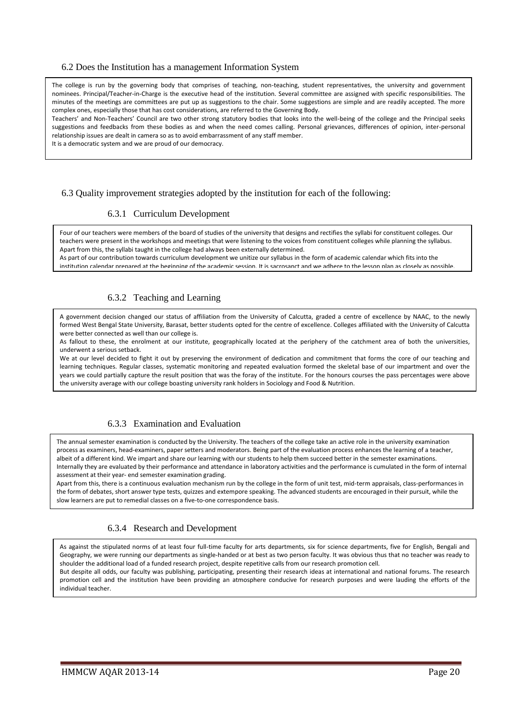#### 6.2 Does the Institution has a management Information System

The college is run by the governing body that comprises of teaching, non-teaching, student representatives, the university and government nominees. Principal/Teacher-in-Charge is the executive head of the institution. Several committee are assigned with specific responsibilities. The minutes of the meetings are committees are put up as suggestions to the chair. Some suggestions are simple and are readily accepted. The more complex ones, especially those that has cost considerations, are referred to the Governing Body.

Teachers' and Non-Teachers' Council are two other strong statutory bodies that looks into the well-being of the college and the Principal seeks suggestions and feedbacks from these bodies as and when the need comes calling. Personal grievances, differences of opinion, inter-personal relationship issues are dealt in camera so as to avoid embarrassment of any staff member.

It is a democratic system and we are proud of our democracy.

### 6.3 Quality improvement strategies adopted by the institution for each of the following:

### 6.3.1 Curriculum Development

Four of our teachers were members of the board of studies of the university that designs and rectifies the syllabi for constituent colleges. Our teachers were present in the workshops and meetings that were listening to the voices from constituent colleges while planning the syllabus. Apart from this, the syllabi taught in the college had always been externally determined.

As part of our contribution towards curriculum development we unitize our syllabus in the form of academic calendar which fits into the institution calendar prepared at the beginning of the academic session. It is sacrosanct and we adhere to the lesson plan as closely as possible.

#### 6.3.2 Teaching and Learning  $6.3.2$  reaching and Learning monoitor to make our performances accountable and transparent to ourselves, to the ourselves, to the ourselves, to the ourselves, to the ourselves, to the ourselves, to the outselves, to the

system and to our other stakeholders, the students and their parents. A government decision changed our status of affiliation from the University of Calcutta, graded a centre of excellence by NAAC, to the newly formed West Bengal State University, Barasat, better students opted for the centre of excellence. Colleges affiliated with the University of Calcutta were better connected as well than our college is.

As fallout to these, the enrolment at our institute, geographically located at the periphery of the catchment area of both the universities, underwent a serious setback.

We at our level decided to fight it out by preserving the environment of dedication and commitment that forms the core of our teaching and learning techniques. Regular classes, systematic monitoring and repeated evaluation formed the skeletal base of our impartment and over the years we could partially capture the result position that was the foray of the institute. For the honours courses the pass percentages were above the university average with our college boasting university rank holders in Sociology and Food & Nutrition.

### 6.3.3 Examination and Evaluation

The annual semester examination is conducted by the University. The teachers of the college take an active role in the university examination process as examiners, head-examiners, paper setters and moderators. Being part of the evaluation process enhances the learning of a teacher, albeit of a different kind. We impart and share our learning with our students to help them succeed better in the semester examinations. Internally they are evaluated by their performance and attendance in laboratory activities and the performance is cumulated in the form of internal assessment at their year- end semester examination grading.

Apart from this, there is a continuous evaluation mechanism run by the college in the form of unit test, mid-term appraisals, class-performances in the form of debates, short answer type tests, quizzes and extempore speaking. The advanced students are encouraged in their pursuit, while the slow learners are put to remedial classes on a five-to-one correspondence basis.

### 6.3.4 Research and Development

As against the stipulated norms of at least four full-time faculty for arts departments, six for science departments, five for English, Bengali and Geography, we were running our departments as single-handed or at best as two person faculty. It was obvious thus that no teacher was ready to shoulder the additional load of a funded research project, despite repetitive calls from our research promotion cell. But despite all odds, our faculty was publishing, participating, presenting their research ideas at international and national forums. The research promotion cell and the institution have been providing an atmosphere conducive for research purposes and were lauding the efforts of the

HMMCW AQAR 2013-14 Page 20

individual teacher.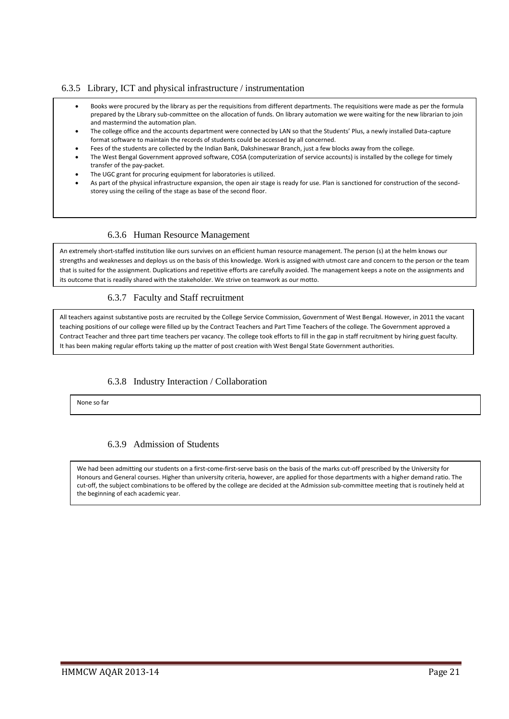### 6.3.5 Library, ICT and physical infrastructure / instrumentation

- Books were procured by the library as per the requisitions from different departments. The requisitions were made as per the formula prepared by the Library sub-committee on the allocation of funds. On library automation we were waiting for the new librarian to join and mastermind the automation plan.
- The college office and the accounts department were connected by LAN so that the Students' Plus, a newly installed Data-capture format software to maintain the records of students could be accessed by all concerned.
- Fees of the students are collected by the Indian Bank, Dakshineswar Branch, just a few blocks away from the college.
- The West Bengal Government approved software, COSA (computerization of service accounts) is installed by the college for timely transfer of the pay-packet.
- The UGC grant for procuring equipment for laboratories is utilized.
- As part of the physical infrastructure expansion, the open air stage is ready for use. Plan is sanctioned for construction of the secondstorey using the ceiling of the stage as base of the second floor.

### 6.3.6 Human Resource Management

An extremely short-staffed institution like ours survives on an efficient human resource management. The person (s) at the helm knows our strengths and weaknesses and deploys us on the basis of this knowledge. Work is assigned with utmost care and concern to the person or the team that is suited for the assignment. Duplications and repetitive efforts are carefully avoided. The management keeps a note on the assignments and its outcome that is readily shared with the stakeholder. We strive on teamwork as our motto.

### 6.3.7 Faculty and Staff recruitment

All teachers against substantive posts are recruited by the College Service Commission, Government of West Bengal. However, in 2011 the vacant teaching positions of our college were filled up by the Contract Teachers and Part Time Teachers of the college. The Government approved a Contract Teacher and three part time teachers per vacancy. The college took efforts to fill in the gap in staff recruitment by hiring guest faculty. It has been making regular efforts taking up the matter of post creation with West Bengal State Government authorities.

### 6.3.8 Industry Interaction / Collaboration

None so far

### 6.3.9 Admission of Students

We had been admitting our students on a first-come-first-serve basis on the basis of the marks cut-off prescribed by the University for Honours and General courses. Higher than university criteria, however, are applied for those departments with a higher demand ratio. The cut-off, the subject combinations to be offered by the college are decided at the Admission sub-committee meeting that is routinely held at the beginning of each academic year.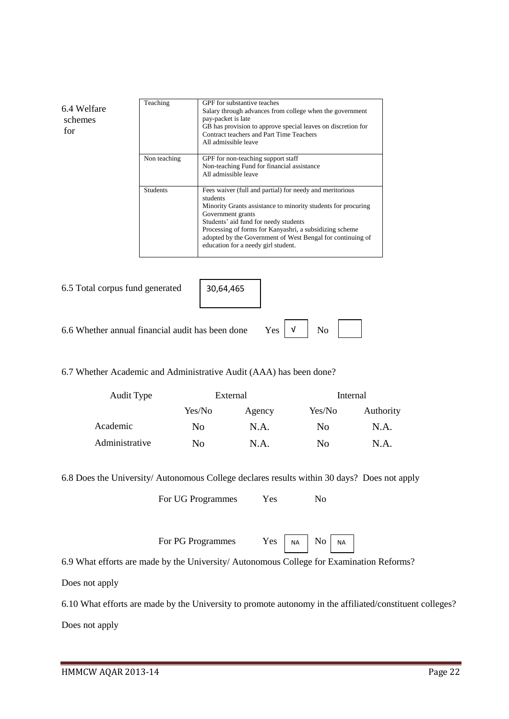6.4 Welfare schemes Teaching GPF for substantive teaches Salary through advances from college when the government pay-packet is late GB has provision to approve special leaves on discretion for Contract teachers and Part Time Teachers All admissible leave Non teaching GPF for non-teaching support staff Non-teaching Fund for financial assistance All admissible leave Students Fees waiver (full and partial) for needy and meritorious students Minority Grants assistance to minority students for procuring Government grants Students' aid fund for needy students Processing of forms for Kanyashri, a subsidizing scheme adopted by the Government of West Bengal for continuing of education for a needy girl student.

for

| 6.5 Total corpus fund generated   30,64,465                                       |  |  |
|-----------------------------------------------------------------------------------|--|--|
| 6.6 Whether annual financial audit has been done Yes $\vert \nu \vert$ No $\vert$ |  |  |

### 6.7 Whether Academic and Administrative Audit (AAA) has been done?

| Audit Type     |                | External |                | Internal  |
|----------------|----------------|----------|----------------|-----------|
|                | Yes/No         | Agency   | Yes/No         | Authority |
| Academic       | N <sub>0</sub> | N.A.     | N <sub>0</sub> | N.A.      |
| Administrative | No             | N.A.     | No             | N.A.      |

6.8 Does the University/ Autonomous College declares results within 30 days? Does not apply

For UG Programmes Yes No

For PG Programmes Yes  $\vert$  NA

 $\overline{N_{O}}$   $\overline{N_{A}}$ 

6.9 What efforts are made by the University/ Autonomous College for Examination Reforms?

Does not apply

6.10 What efforts are made by the University to promote autonomy in the affiliated/constituent colleges? Does not apply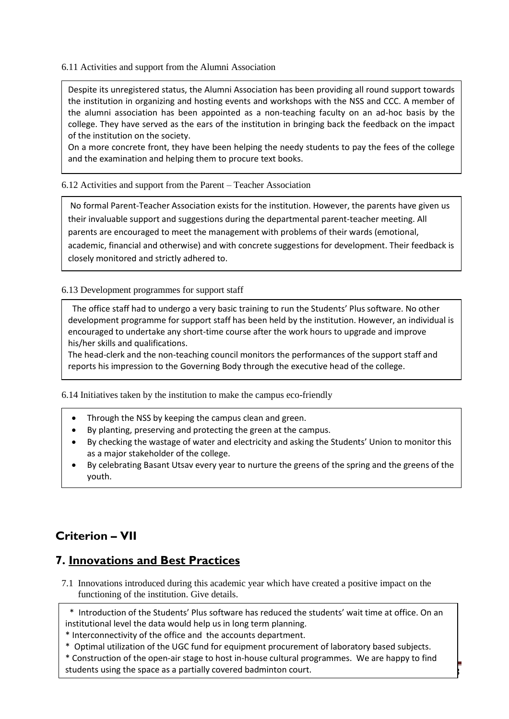6.11 Activities and support from the Alumni Association

Despite its unregistered status, the Alumni Association has been providing all round support towards the institution in organizing and hosting events and workshops with the NSS and CCC. A member of the alumni association has been appointed as a non-teaching faculty on an ad-hoc basis by the college. They have served as the ears of the institution in bringing back the feedback on the impact of the institution on the society.

On a more concrete front, they have been helping the needy students to pay the fees of the college and the examination and helping them to procure text books.

6.12 Activities and support from the Parent – Teacher Association

No formal Parent-Teacher Association exists for the institution. However, the parents have given us their invaluable support and suggestions during the departmental parent-teacher meeting. All parents are encouraged to meet the management with problems of their wards (emotional, academic, financial and otherwise) and with concrete suggestions for development. Their feedback is closely monitored and strictly adhered to.

6.13 Development programmes for support staff

 The office staff had to undergo a very basic training to run the Students' Plus software. No other development programme for support staff has been held by the institution. However, an individual is encouraged to undertake any short-time course after the work hours to upgrade and improve his/her skills and qualifications.

The head-clerk and the non-teaching council monitors the performances of the support staff and reports his impression to the Governing Body through the executive head of the college.

6.14 Initiatives taken by the institution to make the campus eco-friendly

- Through the NSS by keeping the campus clean and green.
- By planting, preserving and protecting the green at the campus.
- By checking the wastage of water and electricity and asking the Students' Union to monitor this as a major stakeholder of the college.
- By celebrating Basant Utsav every year to nurture the greens of the spring and the greens of the youth.

# **Criterion – VII**

# **7. Innovations and Best Practices**

7.1 Innovations introduced during this academic year which have created a positive impact on the functioning of the institution. Give details.

 \* Introduction of the Students' Plus software has reduced the students' wait time at office. On an institutional level the data would help us in long term planning.

\* Interconnectivity of the office and the accounts department.

\* Optimal utilization of the UGC fund for equipment procurement of laboratory based subjects.

students using the space as a partially covered badminton court. \* Construction of the open-air stage to host in-house cultural programmes. We are happy to find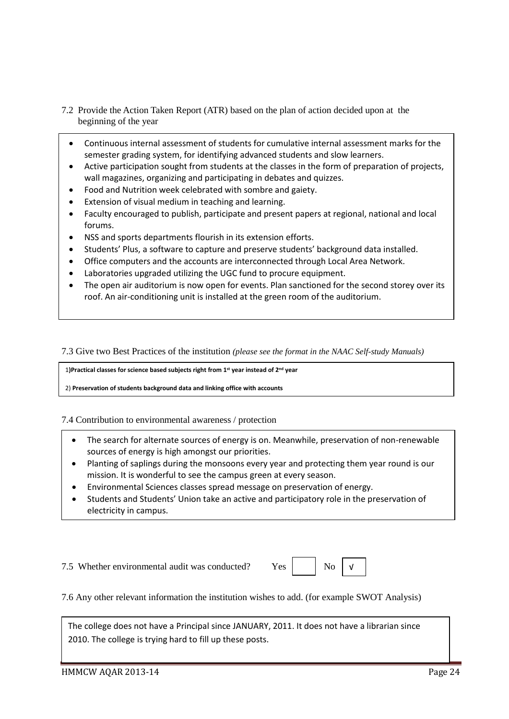- 7.2 Provide the Action Taken Report (ATR) based on the plan of action decided upon at the beginning of the year
	- Continuous internal assessment of students for cumulative internal assessment marks for the semester grading system, for identifying advanced students and slow learners.
	- Active participation sought from students at the classes in the form of preparation of projects, wall magazines, organizing and participating in debates and quizzes.
	- Food and Nutrition week celebrated with sombre and gaiety.
	- Extension of visual medium in teaching and learning.
	- Faculty encouraged to publish, participate and present papers at regional, national and local forums.
	- NSS and sports departments flourish in its extension efforts.
	- Students' Plus, a software to capture and preserve students' background data installed.
	- Office computers and the accounts are interconnected through Local Area Network.
	- Laboratories upgraded utilizing the UGC fund to procure equipment.
	- The open air auditorium is now open for events. Plan sanctioned for the second storey over its roof. An air-conditioning unit is installed at the green room of the auditorium.

7.3 Give two Best Practices of the institution *(please see the format in the NAAC Self-study Manuals)*

1**)Practical classes for science based subjects right from 1st year instead of 2nd year**

2) **Preservation of students background data and linking office with accounts**

7.4 Contribution to environmental awareness / protection

- The search for alternate sources of energy is on. Meanwhile, preservation of non-renewable sources of energy is high amongst our priorities.
- Planting of saplings during the monsoons every year and protecting them year round is our mission. It is wonderful to see the campus green at every season.
- Environmental Sciences classes spread message on preservation of energy.
- Students and Students' Union take an active and participatory role in the preservation of electricity in campus.

7.5 Whether environmental audit was conducted? Yes | No

√

7.6 Any other relevant information the institution wishes to add. (for example SWOT Analysis)

The college does not have a Principal since JANUARY, 2011. It does not have a librarian since 2010. The college is trying hard to fill up these posts.

•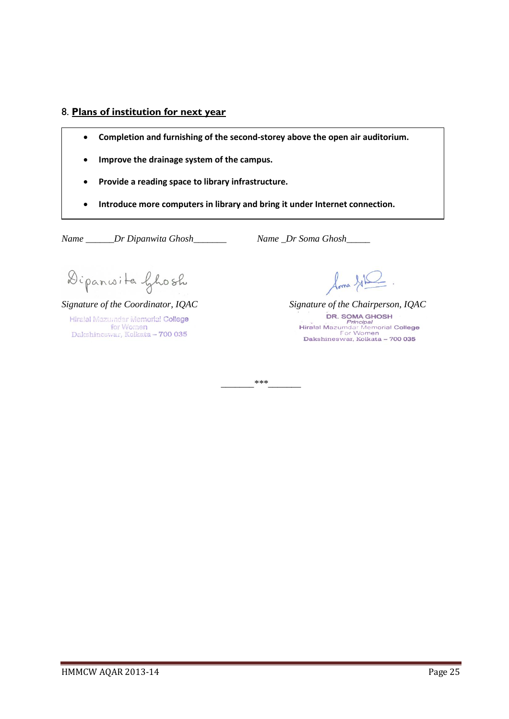## 8. **Plans of institution for next year**

- **Completion and furnishing of the second-storey above the open air auditorium.**
- **Improve the drainage system of the campus.**
- **Provide a reading space to library infrastructure.**
- **Introduce more computers in library and bring it under Internet connection.**

*\_\_\_\_\_\_\_\*\*\*\_\_\_\_\_\_\_*

*Name \_\_\_\_\_\_Dr Dipanwita Ghosh\_\_\_\_\_\_\_ Name \_Dr Soma Ghosh\_\_\_\_\_* 

Dipanwite Ghosh

*Signature of the Coordinator, IQAC Signature of the Chairperson, IQAC* Hiralal Mazumdar Memorial College for Women<br>Dakshineswar, Kolkata - 700 035

loma GIR

HMMCW AQAR 2013-14 Page 25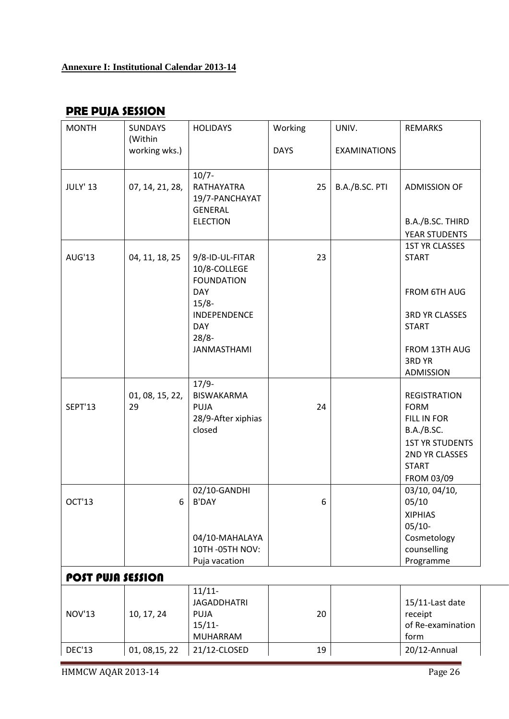# **Annexure I: Institutional Calendar 2013-14**

# **PRE PUJA SESSION**

| <b>MONTH</b>             | <b>SUNDAYS</b><br>(Within | <b>HOLIDAYS</b>                                                         | Working     | UNIV.               | <b>REMARKS</b>                                                                                                                            |
|--------------------------|---------------------------|-------------------------------------------------------------------------|-------------|---------------------|-------------------------------------------------------------------------------------------------------------------------------------------|
|                          | working wks.)             |                                                                         | <b>DAYS</b> | <b>EXAMINATIONS</b> |                                                                                                                                           |
| <b>JULY' 13</b>          | 07, 14, 21, 28,           | $10/7 -$<br>RATHAYATRA<br>19/7-PANCHAYAT<br><b>GENERAL</b>              | 25          | B.A./B.SC. PTI      | <b>ADMISSION OF</b>                                                                                                                       |
|                          |                           | <b>ELECTION</b>                                                         |             |                     | B.A./B.SC. THIRD                                                                                                                          |
|                          |                           |                                                                         |             |                     | YEAR STUDENTS                                                                                                                             |
| AUG'13                   | 04, 11, 18, 25            | 9/8-ID-UL-FITAR<br>10/8-COLLEGE                                         | 23          |                     | <b>1ST YR CLASSES</b><br><b>START</b>                                                                                                     |
|                          |                           | <b>FOUNDATION</b><br><b>DAY</b><br>$15/8 -$                             |             |                     | FROM 6TH AUG                                                                                                                              |
|                          |                           | INDEPENDENCE<br><b>DAY</b><br>$28/8 -$                                  |             |                     | <b>3RD YR CLASSES</b><br><b>START</b>                                                                                                     |
|                          |                           | <b>JANMASTHAMI</b>                                                      |             |                     | FROM 13TH AUG<br>3RD YR<br><b>ADMISSION</b>                                                                                               |
| <b>SEPT'13</b>           | 01, 08, 15, 22,<br>29     | $17/9-$<br><b>BISWAKARMA</b><br>PUJA<br>28/9-After xiphias<br>closed    | 24          |                     | <b>REGISTRATION</b><br><b>FORM</b><br>FILL IN FOR<br>B.A./B.SC.<br><b>1ST YR STUDENTS</b><br>2ND YR CLASSES<br><b>START</b><br>FROM 03/09 |
| OCT'13                   | 6                         | 02/10-GANDHI<br><b>B'DAY</b>                                            | 6           |                     | 03/10, 04/10,<br>05/10<br><b>XIPHIAS</b><br>$05/10-$                                                                                      |
|                          |                           | 04/10-MAHALAYA<br>10TH-05TH NOV:<br>Puja vacation                       |             |                     | Cosmetology<br>counselling<br>Programme                                                                                                   |
| <b>POST PUJA SESSION</b> |                           |                                                                         |             |                     |                                                                                                                                           |
| <b>NOV'13</b>            | 10, 17, 24                | $11/11 -$<br><b>JAGADDHATRI</b><br><b>PUJA</b><br>$15/11$ -<br>MUHARRAM | 20          |                     | 15/11-Last date<br>receipt<br>of Re-examination<br>form                                                                                   |
| <b>DEC'13</b>            | 01, 08, 15, 22            | 21/12-CLOSED                                                            | 19          |                     | 20/12-Annual                                                                                                                              |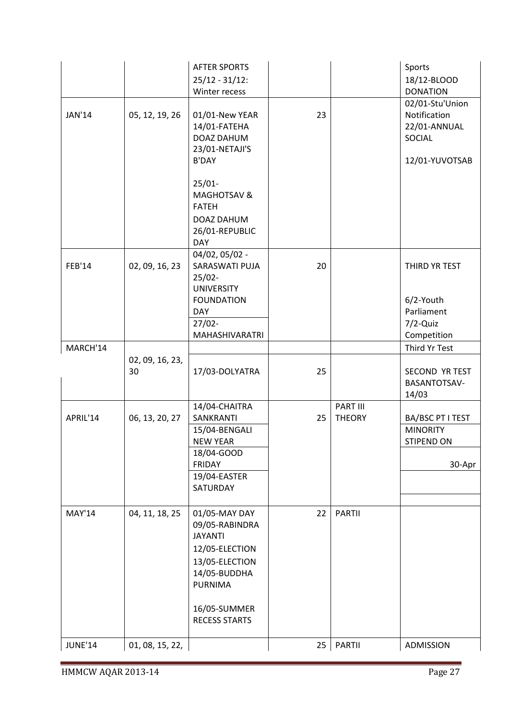|               |                       | <b>AFTER SPORTS</b><br>$25/12 - 31/12$ :<br>Winter recess                                                               |    |                           | Sports<br>18/12-BLOOD<br><b>DONATION</b>                                    |
|---------------|-----------------------|-------------------------------------------------------------------------------------------------------------------------|----|---------------------------|-----------------------------------------------------------------------------|
| JAN'14        | 05, 12, 19, 26        | 01/01-New YEAR<br>14/01-FATEHA<br>DOAZ DAHUM<br>23/01-NETAJI'S<br><b>B'DAY</b>                                          | 23 |                           | 02/01-Stu'Union<br>Notification<br>22/01-ANNUAL<br>SOCIAL<br>12/01-YUVOTSAB |
|               |                       | $25/01 -$<br><b>MAGHOTSAV &amp;</b><br><b>FATEH</b><br>DOAZ DAHUM<br>26/01-REPUBLIC<br><b>DAY</b>                       |    |                           |                                                                             |
| <b>FEB'14</b> | 02, 09, 16, 23        | 04/02, 05/02 -<br>SARASWATI PUJA<br>$25/02 -$<br><b>UNIVERSITY</b>                                                      | 20 |                           | THIRD YR TEST                                                               |
|               |                       | <b>FOUNDATION</b><br><b>DAY</b><br>$27/02 -$<br>MAHASHIVARATRI                                                          |    |                           | 6/2-Youth<br>Parliament<br>$7/2$ -Quiz<br>Competition                       |
| MARCH'14      |                       |                                                                                                                         |    |                           | Third Yr Test                                                               |
|               | 02, 09, 16, 23,<br>30 | 17/03-DOLYATRA                                                                                                          | 25 |                           | SECOND YR TEST<br>BASANTOTSAV-<br>14/03                                     |
| APRIL'14      | 06, 13, 20, 27        | 14/04-CHAITRA<br>SANKRANTI                                                                                              | 25 | PART III<br><b>THEORY</b> | BA/BSC PT I TEST                                                            |
|               |                       | 15/04-BENGALI<br><b>NEW YEAR</b>                                                                                        |    |                           | <b>MINORITY</b><br>STIPEND ON                                               |
|               |                       | 18/04-GOOD<br><b>FRIDAY</b><br>19/04-EASTER                                                                             |    |                           | 30-Apr                                                                      |
|               |                       | SATURDAY                                                                                                                |    |                           |                                                                             |
| <b>MAY'14</b> | 04, 11, 18, 25        | 01/05-MAY DAY<br>09/05-RABINDRA<br><b>JAYANTI</b><br>12/05-ELECTION<br>13/05-ELECTION<br>14/05-BUDDHA<br><b>PURNIMA</b> | 22 | <b>PARTII</b>             |                                                                             |
|               |                       | 16/05-SUMMER<br><b>RECESS STARTS</b>                                                                                    |    |                           |                                                                             |
| JUNE'14       | 01, 08, 15, 22,       |                                                                                                                         | 25 | <b>PARTII</b>             | ADMISSION                                                                   |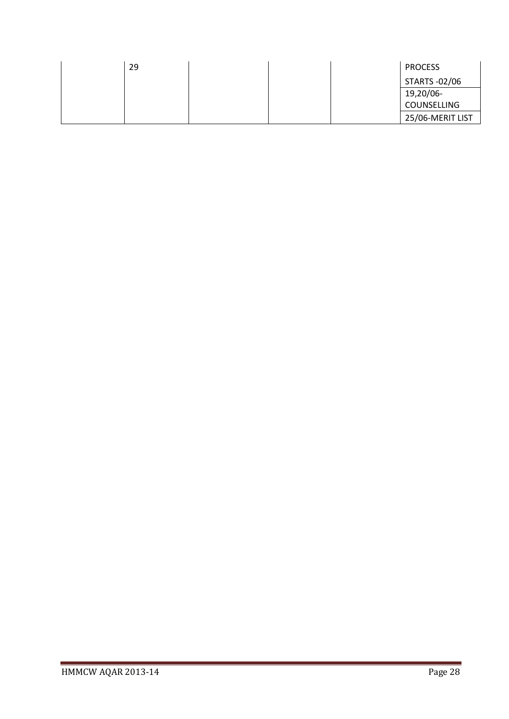| 29 | <b>PROCESS</b>   |
|----|------------------|
|    | STARTS -02/06    |
|    | 19,20/06-        |
|    | COUNSELLING      |
|    | 25/06-MERIT LIST |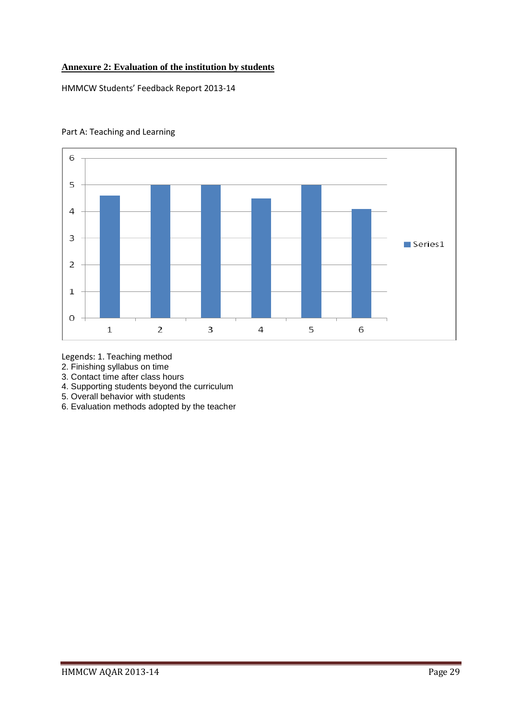## **Annexure 2: Evaluation of the institution by students**

HMMCW Students' Feedback Report 2013-14



## Part A: Teaching and Learning

Legends: 1. Teaching method

- 2. Finishing syllabus on time
- 3. Contact time after class hours
- 4. Supporting students beyond the curriculum
- 5. Overall behavior with students
- 6. Evaluation methods adopted by the teacher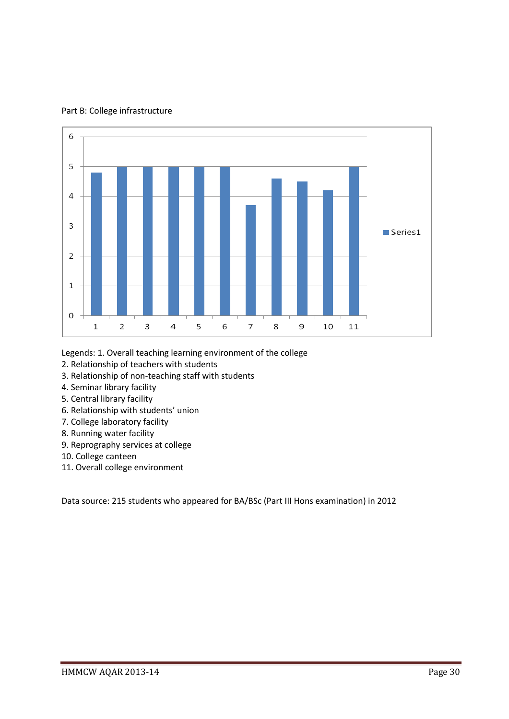

Part B: College infrastructure

Legends: 1. Overall teaching learning environment of the college

- 2. Relationship of teachers with students
- 3. Relationship of non-teaching staff with students
- 4. Seminar library facility
- 5. Central library facility
- 6. Relationship with students' union
- 7. College laboratory facility
- 8. Running water facility
- 9. Reprography services at college
- 10. College canteen
- 11. Overall college environment

Data source: 215 students who appeared for BA/BSc (Part III Hons examination) in 2012